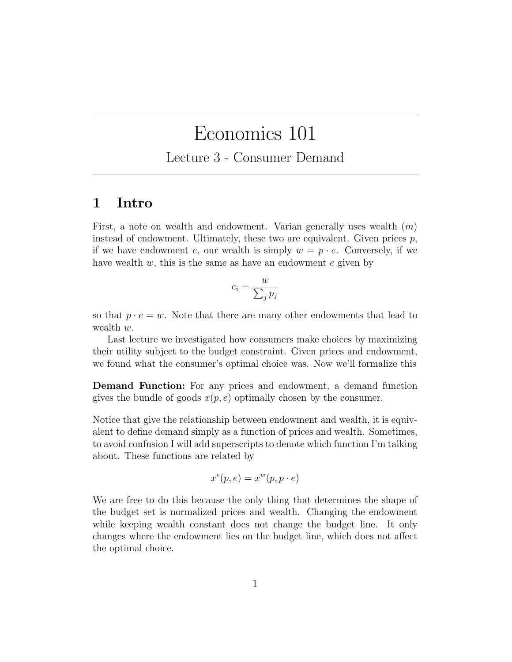# Economics 101

Lecture 3 - Consumer Demand

### 1 Intro

First, a note on wealth and endowment. Varian generally uses wealth  $(m)$ instead of endowment. Ultimately, these two are equivalent. Given prices  $p$ , if we have endowment e, our wealth is simply  $w = p \cdot e$ . Conversely, if we have wealth  $w$ , this is the same as have an endowment  $e$  given by

$$
e_i = \frac{w}{\sum_j p_j}
$$

so that  $p \cdot e = w$ . Note that there are many other endowments that lead to wealth w.

Last lecture we investigated how consumers make choices by maximizing their utility subject to the budget constraint. Given prices and endowment, we found what the consumer's optimal choice was. Now we'll formalize this

Demand Function: For any prices and endowment, a demand function gives the bundle of goods  $x(p, e)$  optimally chosen by the consumer.

Notice that give the relationship between endowment and wealth, it is equivalent to define demand simply as a function of prices and wealth. Sometimes, to avoid confusion I will add superscripts to denote which function I'm talking about. These functions are related by

$$
x^e(p, e) = x^w(p, p \cdot e)
$$

We are free to do this because the only thing that determines the shape of the budget set is normalized prices and wealth. Changing the endowment while keeping wealth constant does not change the budget line. It only changes where the endowment lies on the budget line, which does not affect the optimal choice.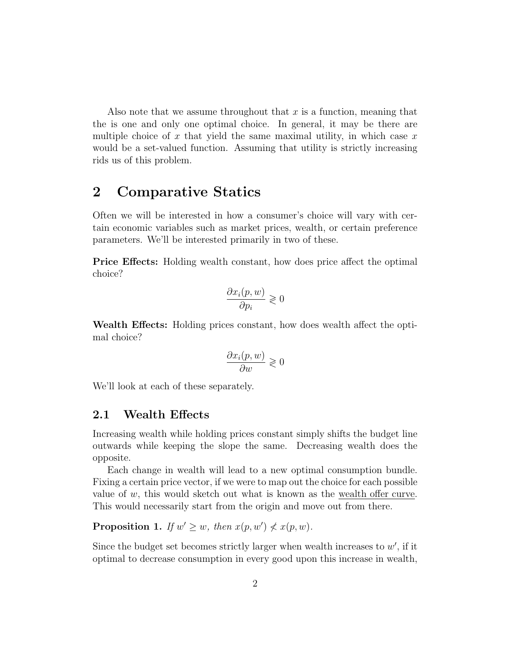Also note that we assume throughout that  $x$  is a function, meaning that the is one and only one optimal choice. In general, it may be there are multiple choice of  $x$  that yield the same maximal utility, in which case  $x$ would be a set-valued function. Assuming that utility is strictly increasing rids us of this problem.

## 2 Comparative Statics

Often we will be interested in how a consumer's choice will vary with certain economic variables such as market prices, wealth, or certain preference parameters. We'll be interested primarily in two of these.

Price Effects: Holding wealth constant, how does price affect the optimal choice?

$$
\frac{\partial x_i(p,w)}{\partial p_i} \gtrless 0
$$

Wealth Effects: Holding prices constant, how does wealth affect the optimal choice?

$$
\frac{\partial x_i(p,w)}{\partial w} \geq 0
$$

We'll look at each of these separately.

#### 2.1 Wealth Effects

Increasing wealth while holding prices constant simply shifts the budget line outwards while keeping the slope the same. Decreasing wealth does the opposite.

Each change in wealth will lead to a new optimal consumption bundle. Fixing a certain price vector, if we were to map out the choice for each possible value of  $w$ , this would sketch out what is known as the wealth offer curve. This would necessarily start from the origin and move out from there.

**Proposition 1.** If  $w' \geq w$ , then  $x(p, w') \nleq x(p, w)$ .

Since the budget set becomes strictly larger when wealth increases to  $w'$ , if it optimal to decrease consumption in every good upon this increase in wealth,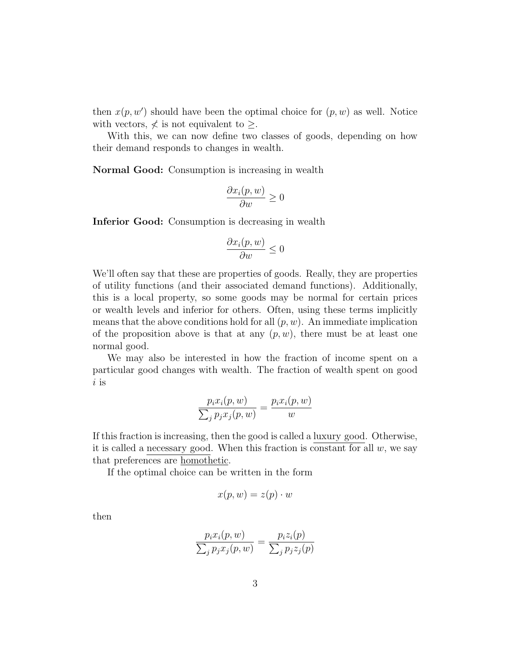then  $x(p, w')$  should have been the optimal choice for  $(p, w)$  as well. Notice with vectors,  $\nless$  is not equivalent to  $\geq$ .

With this, we can now define two classes of goods, depending on how their demand responds to changes in wealth.

Normal Good: Consumption is increasing in wealth

$$
\frac{\partial x_i(p,w)}{\partial w} \ge 0
$$

Inferior Good: Consumption is decreasing in wealth

$$
\frac{\partial x_i(p,w)}{\partial w} \le 0
$$

We'll often say that these are properties of goods. Really, they are properties of utility functions (and their associated demand functions). Additionally, this is a local property, so some goods may be normal for certain prices or wealth levels and inferior for others. Often, using these terms implicitly means that the above conditions hold for all  $(p, w)$ . An immediate implication of the proposition above is that at any  $(p, w)$ , there must be at least one normal good.

We may also be interested in how the fraction of income spent on a particular good changes with wealth. The fraction of wealth spent on good  $i$  is

$$
\frac{p_i x_i(p, w)}{\sum_j p_j x_j(p, w)} = \frac{p_i x_i(p, w)}{w}
$$

If this fraction is increasing, then the good is called a luxury good. Otherwise, it is called a necessary good. When this fraction is constant for all  $w$ , we say that preferences are homothetic.

If the optimal choice can be written in the form

$$
x(p, w) = z(p) \cdot w
$$

then

$$
\frac{p_i x_i(p, w)}{\sum_j p_j x_j(p, w)} = \frac{p_i z_i(p)}{\sum_j p_j z_j(p)}
$$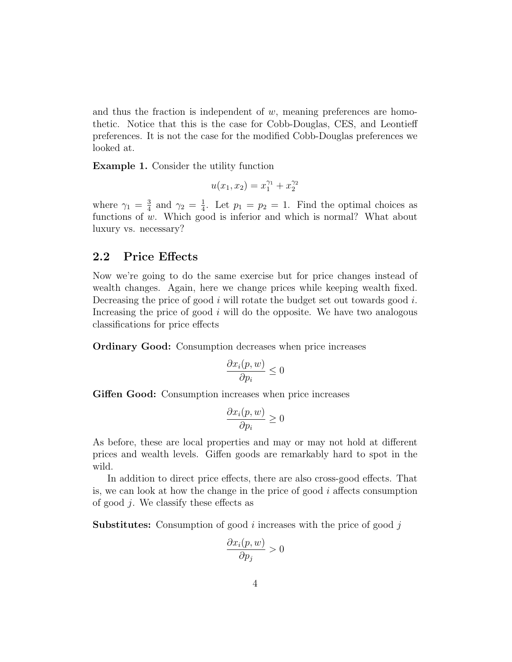and thus the fraction is independent of  $w$ , meaning preferences are homothetic. Notice that this is the case for Cobb-Douglas, CES, and Leontieff preferences. It is not the case for the modified Cobb-Douglas preferences we looked at.

Example 1. Consider the utility function

$$
u(x_1, x_2) = x_1^{\gamma_1} + x_2^{\gamma_2}
$$

where  $\gamma_1 = \frac{3}{4}$  $\frac{3}{4}$  and  $\gamma_2 = \frac{1}{4}$  $\frac{1}{4}$ . Let  $p_1 = p_2 = 1$ . Find the optimal choices as functions of  $w$ . Which good is inferior and which is normal? What about luxury vs. necessary?

#### 2.2 Price Effects

Now we're going to do the same exercise but for price changes instead of wealth changes. Again, here we change prices while keeping wealth fixed. Decreasing the price of good  $i$  will rotate the budget set out towards good  $i$ . Increasing the price of good  $i$  will do the opposite. We have two analogous classifications for price effects

Ordinary Good: Consumption decreases when price increases

$$
\frac{\partial x_i(p,w)}{\partial p_i} \le 0
$$

Giffen Good: Consumption increases when price increases

$$
\frac{\partial x_i(p,w)}{\partial p_i} \ge 0
$$

As before, these are local properties and may or may not hold at different prices and wealth levels. Giffen goods are remarkably hard to spot in the wild.

In addition to direct price effects, there are also cross-good effects. That is, we can look at how the change in the price of good  $i$  affects consumption of good j. We classify these effects as

**Substitutes:** Consumption of good i increases with the price of good j

$$
\frac{\partial x_i(p,w)}{\partial p_j} > 0
$$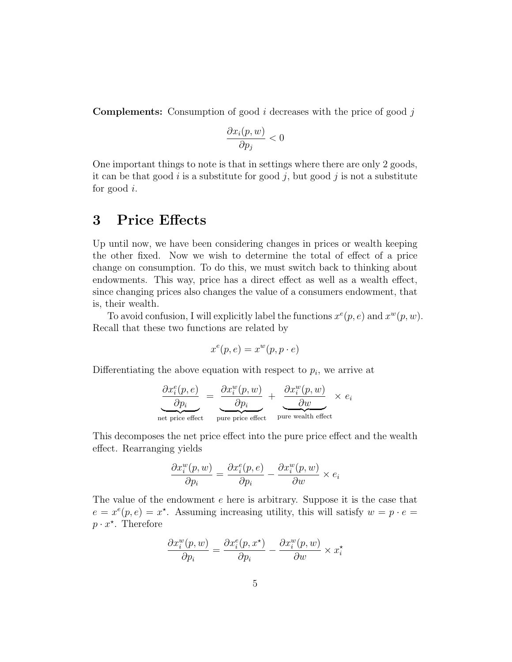**Complements:** Consumption of good i decreases with the price of good j

$$
\frac{\partial x_i(p,w)}{\partial p_j} < 0
$$

One important things to note is that in settings where there are only 2 goods, it can be that good i is a substitute for good j, but good j is not a substitute for good  $i$ .

### 3 Price Effects

Up until now, we have been considering changes in prices or wealth keeping the other fixed. Now we wish to determine the total of effect of a price change on consumption. To do this, we must switch back to thinking about endowments. This way, price has a direct effect as well as a wealth effect, since changing prices also changes the value of a consumers endowment, that is, their wealth.

To avoid confusion, I will explicitly label the functions  $x^e(p, e)$  and  $x^w(p, w)$ . Recall that these two functions are related by

$$
x^e(p, e) = x^w(p, p \cdot e)
$$

Differentiating the above equation with respect to  $p_i$ , we arrive at

$$
\frac{\partial x_i^e(p, e)}{\partial p_i} = \frac{\partial x_i^w(p, w)}{\partial p_i} + \frac{\partial x_i^w(p, w)}{\partial w} \times e_i
$$
\nnet price effect\npure price effect\npure wealth effect

This decomposes the net price effect into the pure price effect and the wealth effect. Rearranging yields

$$
\frac{\partial x_i^w(p,w)}{\partial p_i} = \frac{\partial x_i^e(p,e)}{\partial p_i} - \frac{\partial x_i^w(p,w)}{\partial w} \times e_i
$$

The value of the endowment e here is arbitrary. Suppose it is the case that  $e = x^e(p, e) = x^*$ . Assuming increasing utility, this will satisfy  $w = p \cdot e =$  $p \cdot x^*$ . Therefore

$$
\frac{\partial x_i^w(p, w)}{\partial p_i} = \frac{\partial x_i^e(p, x^*)}{\partial p_i} - \frac{\partial x_i^w(p, w)}{\partial w} \times x_i^*
$$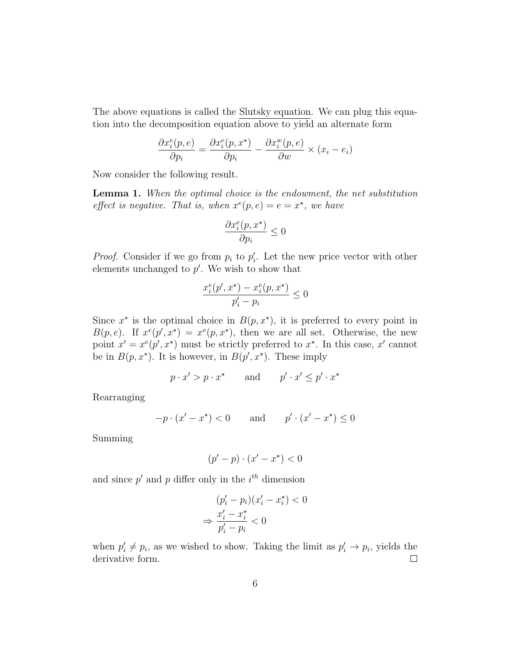The above equations is called the Slutsky equation. We can plug this equation into the decomposition equation above to yield an alternate form

$$
\frac{\partial x_i^e(p,e)}{\partial p_i} = \frac{\partial x_i^e(p,x^\star)}{\partial p_i} - \frac{\partial x_i^w(p,e)}{\partial w} \times (x_i - e_i)
$$

Now consider the following result.

**Lemma 1.** When the optimal choice is the endowment, the net substitution effect is negative. That is, when  $x^e(p, e) = e = x^*$ , we have

$$
\frac{\partial x_i^e(p,x^\star)}{\partial p_i} \leq 0
$$

*Proof.* Consider if we go from  $p_i$  to  $p'_i$ . Let the new price vector with other elements unchanged to  $p'$ . We wish to show that

$$
\frac{x_i^e(p', x^\star) - x_i^e(p, x^\star)}{p_i' - p_i} \le 0
$$

Since  $x^*$  is the optimal choice in  $B(p, x^*)$ , it is preferred to every point in  $B(p, e)$ . If  $x^e(p', x^*) = x^e(p, x^*)$ , then we are all set. Otherwise, the new point  $x' = x^e(p', x^*)$  must be strictly preferred to  $x^*$ . In this case, x' cannot be in  $B(p, x^*)$ . It is however, in  $B(p', x^*)$ . These imply

$$
p \cdot x' > p \cdot x^*
$$
 and  $p' \cdot x' \le p' \cdot x^*$ 

Rearranging

$$
-p \cdot (x' - x^*) < 0 \qquad \text{and} \qquad p' \cdot (x' - x^*) \le 0
$$

Summing

$$
(p'-p)\cdot(x'-x^\star)<0
$$

and since  $p'$  and  $p$  differ only in the  $i<sup>th</sup>$  dimension

$$
(p'_i - p_i)(x'_i - x_i^*) < 0
$$
\n
$$
\Rightarrow \frac{x'_i - x_i^*}{p'_i - p_i} < 0
$$

when  $p'_i \neq p_i$ , as we wished to show. Taking the limit as  $p'_i \rightarrow p_i$ , yields the derivative form.  $\Box$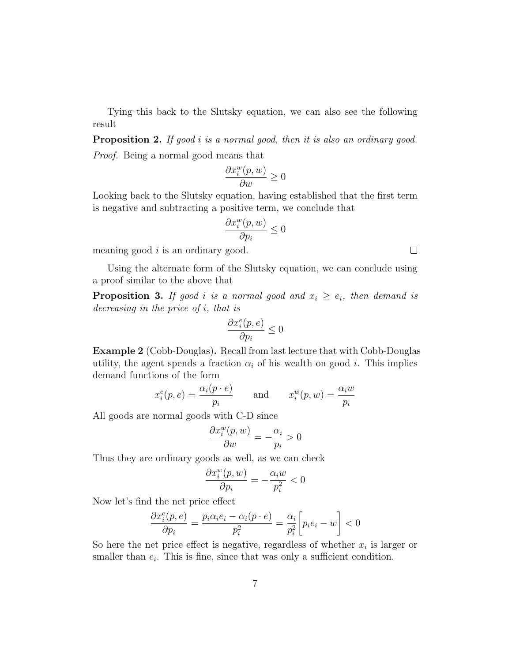Tying this back to the Slutsky equation, we can also see the following result

Proposition 2. If good *i* is a normal good, then it is also an ordinary good. Proof. Being a normal good means that

$$
\frac{\partial x_i^w(p, w)}{\partial w} \ge 0
$$

Looking back to the Slutsky equation, having established that the first term is negative and subtracting a positive term, we conclude that

$$
\frac{\partial x_i^w(p,w)}{\partial p_i} \leq 0
$$

meaning good  $i$  is an ordinary good.

Using the alternate form of the Slutsky equation, we can conclude using a proof similar to the above that

**Proposition 3.** If good i is a normal good and  $x_i \geq e_i$ , then demand is decreasing in the price of i, that is

$$
\frac{\partial x^e_i(p,e)}{\partial p_i} \leq 0
$$

Example 2 (Cobb-Douglas). Recall from last lecture that with Cobb-Douglas utility, the agent spends a fraction  $\alpha_i$  of his wealth on good i. This implies demand functions of the form

$$
x_i^e(p, e) = \frac{\alpha_i(p \cdot e)}{p_i}
$$
 and  $x_i^w(p, w) = \frac{\alpha_i w}{p_i}$ 

All goods are normal goods with C-D since

$$
\frac{\partial x_i^w(p, w)}{\partial w} = -\frac{\alpha_i}{p_i} > 0
$$

Thus they are ordinary goods as well, as we can check

$$
\frac{\partial x_i^w(p, w)}{\partial p_i} = -\frac{\alpha_i w}{p_i^2} < 0
$$

Now let's find the net price effect

$$
\frac{\partial x_i^e(p, e)}{\partial p_i} = \frac{p_i \alpha_i e_i - \alpha_i (p \cdot e)}{p_i^2} = \frac{\alpha_i}{p_i^2} \bigg[ p_i e_i - w \bigg] < 0
$$

So here the net price effect is negative, regardless of whether  $x_i$  is larger or smaller than  $e_i$ . This is fine, since that was only a sufficient condition.

 $\Box$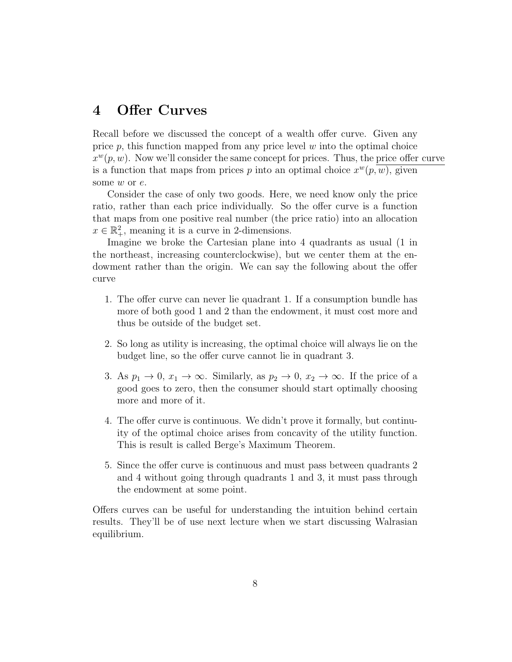## 4 Offer Curves

Recall before we discussed the concept of a wealth offer curve. Given any price  $p$ , this function mapped from any price level  $w$  into the optimal choice  $x^w(p, w)$ . Now we'll consider the same concept for prices. Thus, the price offer curve is a function that maps from prices p into an optimal choice  $x^w(p, w)$ , given some w or e.

Consider the case of only two goods. Here, we need know only the price ratio, rather than each price individually. So the offer curve is a function that maps from one positive real number (the price ratio) into an allocation  $x \in \mathbb{R}^2_+$ , meaning it is a curve in 2-dimensions.

Imagine we broke the Cartesian plane into 4 quadrants as usual (1 in the northeast, increasing counterclockwise), but we center them at the endowment rather than the origin. We can say the following about the offer curve

- 1. The offer curve can never lie quadrant 1. If a consumption bundle has more of both good 1 and 2 than the endowment, it must cost more and thus be outside of the budget set.
- 2. So long as utility is increasing, the optimal choice will always lie on the budget line, so the offer curve cannot lie in quadrant 3.
- 3. As  $p_1 \to 0$ ,  $x_1 \to \infty$ . Similarly, as  $p_2 \to 0$ ,  $x_2 \to \infty$ . If the price of a good goes to zero, then the consumer should start optimally choosing more and more of it.
- 4. The offer curve is continuous. We didn't prove it formally, but continuity of the optimal choice arises from concavity of the utility function. This is result is called Berge's Maximum Theorem.
- 5. Since the offer curve is continuous and must pass between quadrants 2 and 4 without going through quadrants 1 and 3, it must pass through the endowment at some point.

Offers curves can be useful for understanding the intuition behind certain results. They'll be of use next lecture when we start discussing Walrasian equilibrium.